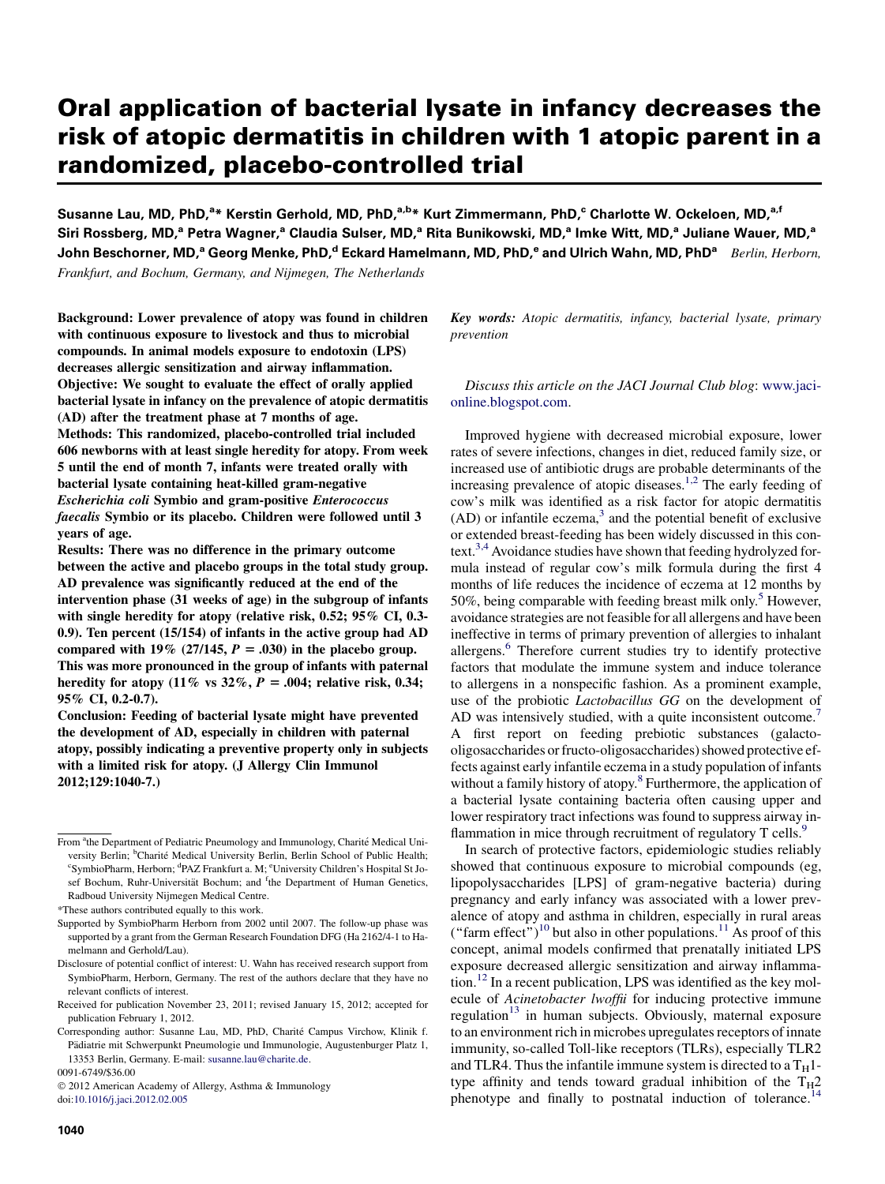# Oral application of bacterial lysate in infancy decreases the risk of atopic dermatitis in children with 1 atopic parent in a randomized, placebo-controlled trial

Susanne Lau, MD, PhD,<sup>a</sup>\* Kerstin Gerhold, MD, PhD,<sup>a,b</sup>\* Kurt Zimmermann, PhD,<sup>c</sup> Charlotte W. Ockeloen, MD,<sup>a,f</sup> Siri Rossberg, MD,<sup>a</sup> Petra Wagner,<sup>a</sup> Claudia Sulser, MD,<sup>a</sup> Rita Bunikowski, MD,<sup>a</sup> Imke Witt, MD,<sup>a</sup> Juliane Wauer, MD,<sup>a</sup> John Beschorner, MD,<sup>a</sup> Georg Menke, PhD,<sup>d</sup> Eckard Hamelmann, MD, PhD,<sup>e</sup> and Ulrich Wahn, MD, PhD<sup>a</sup> Berlin, Herborn,

Frankfurt, and Bochum, Germany, and Nijmegen, The Netherlands

Background: Lower prevalence of atopy was found in children with continuous exposure to livestock and thus to microbial compounds. In animal models exposure to endotoxin (LPS) decreases allergic sensitization and airway inflammation. Objective: We sought to evaluate the effect of orally applied bacterial lysate in infancy on the prevalence of atopic dermatitis (AD) after the treatment phase at 7 months of age. Methods: This randomized, placebo-controlled trial included 606 newborns with at least single heredity for atopy. From week 5 until the end of month 7, infants were treated orally with bacterial lysate containing heat-killed gram-negative Escherichia coli Symbio and gram-positive Enterococcus faecalis Symbio or its placebo. Children were followed until 3 years of age.

Results: There was no difference in the primary outcome between the active and placebo groups in the total study group. AD prevalence was significantly reduced at the end of the intervention phase (31 weeks of age) in the subgroup of infants with single heredity for atopy (relative risk, 0.52; 95% CI, 0.3- 0.9). Ten percent (15/154) of infants in the active group had AD compared with 19% (27/145,  $P = .030$ ) in the placebo group. This was more pronounced in the group of infants with paternal heredity for atopy (11% vs  $32\%$ ,  $P = .004$ ; relative risk, 0.34; 95% CI, 0.2-0.7).

Conclusion: Feeding of bacterial lysate might have prevented the development of AD, especially in children with paternal atopy, possibly indicating a preventive property only in subjects with a limited risk for atopy. (J Allergy Clin Immunol 2012;129:1040-7.)

0091-6749/\$36.00

 2012 American Academy of Allergy, Asthma & Immunology doi:[10.1016/j.jaci.2012.02.005](http://dx.doi.org/10.1016/j.jaci.2012.02.005)

Key words: Atopic dermatitis, infancy, bacterial lysate, primary prevention

Discuss this article on the JACI Journal Club blog: [www.jaci](http://www.jaci-online.blogspot.com)[online.blogspot.com](http://www.jaci-online.blogspot.com).

Improved hygiene with decreased microbial exposure, lower rates of severe infections, changes in diet, reduced family size, or increased use of antibiotic drugs are probable determinants of the increasing prevalence of atopic diseases.<sup>[1,2](#page-6-0)</sup> The early feeding of cow's milk was identified as a risk factor for atopic dermatitis  $(AD)$  or infantile eczema,<sup>3</sup> and the potential benefit of exclusive or extended breast-feeding has been widely discussed in this context.<sup>3,4</sup> Avoidance studies have shown that feeding hydrolyzed formula instead of regular cow's milk formula during the first 4 months of life reduces the incidence of eczema at 12 months by 50%, being comparable with feeding breast milk only.<sup>5</sup> However, avoidance strategies are not feasible for all allergens and have been ineffective in terms of primary prevention of allergies to inhalant allergens.<sup>6</sup> Therefore current studies try to identify protective factors that modulate the immune system and induce tolerance to allergens in a nonspecific fashion. As a prominent example, use of the probiotic Lactobacillus GG on the development of AD was intensively studied, with a quite inconsistent outcome.<sup>[7](#page-7-0)</sup> A first report on feeding prebiotic substances (galactooligosaccharides or fructo-oligosaccharides) showed protective effects against early infantile eczema in a study population of infants without a family history of atopy.<sup>[8](#page-7-0)</sup> Furthermore, the application of a bacterial lysate containing bacteria often causing upper and lower respiratory tract infections was found to suppress airway inflammation in mice through recruitment of regulatory T cells.<sup>9</sup>

In search of protective factors, epidemiologic studies reliably showed that continuous exposure to microbial compounds (eg, lipopolysaccharides [LPS] of gram-negative bacteria) during pregnancy and early infancy was associated with a lower prevalence of atopy and asthma in children, especially in rural areas ("farm effect")<sup>10</sup> but also in other populations.<sup>[11](#page-7-0)</sup> As proof of this concept, animal models confirmed that prenatally initiated LPS exposure decreased allergic sensitization and airway inflammation[.12](#page-7-0) In a recent publication, LPS was identified as the key molecule of Acinetobacter lwoffii for inducing protective immune regulation<sup>[13](#page-7-0)</sup> in human subjects. Obviously, maternal exposure to an environment rich in microbes upregulates receptors of innate immunity, so-called Toll-like receptors (TLRs), especially TLR2 and TLR4. Thus the infantile immune system is directed to a  $T_H$ 1type affinity and tends toward gradual inhibition of the  $T_H2$ phenotype and finally to postnatal induction of tolerance.<sup>[14](#page-7-0)</sup>

From <sup>a</sup>the Department of Pediatric Pneumology and Immunology, Charité Medical University Berlin; <sup>b</sup>Charité Medical University Berlin, Berlin School of Public Health; <sup>c</sup>SymbioPharm, Herborn; <sup>d</sup>PAZ Frankfurt a. M; <sup>e</sup>University Children's Hospital St Josef Bochum, Ruhr-Universität Bochum; and <sup>f</sup>the Department of Human Genetics, Radboud University Nijmegen Medical Centre.

<sup>\*</sup>These authors contributed equally to this work.

Supported by SymbioPharm Herborn from 2002 until 2007. The follow-up phase was supported by a grant from the German Research Foundation DFG (Ha 2162/4-1 to Hamelmann and Gerhold/Lau).

Disclosure of potential conflict of interest: U. Wahn has received research support from SymbioPharm, Herborn, Germany. The rest of the authors declare that they have no relevant conflicts of interest.

Received for publication November 23, 2011; revised January 15, 2012; accepted for publication February 1, 2012.

Corresponding author: Susanne Lau, MD, PhD, Charite Campus Virchow, Klinik f. Pädiatrie mit Schwerpunkt Pneumologie und Immunologie, Augustenburger Platz 1, 13353 Berlin, Germany. E-mail: [susanne.lau@charite.de.](mailto:susanne.lau@charite.de)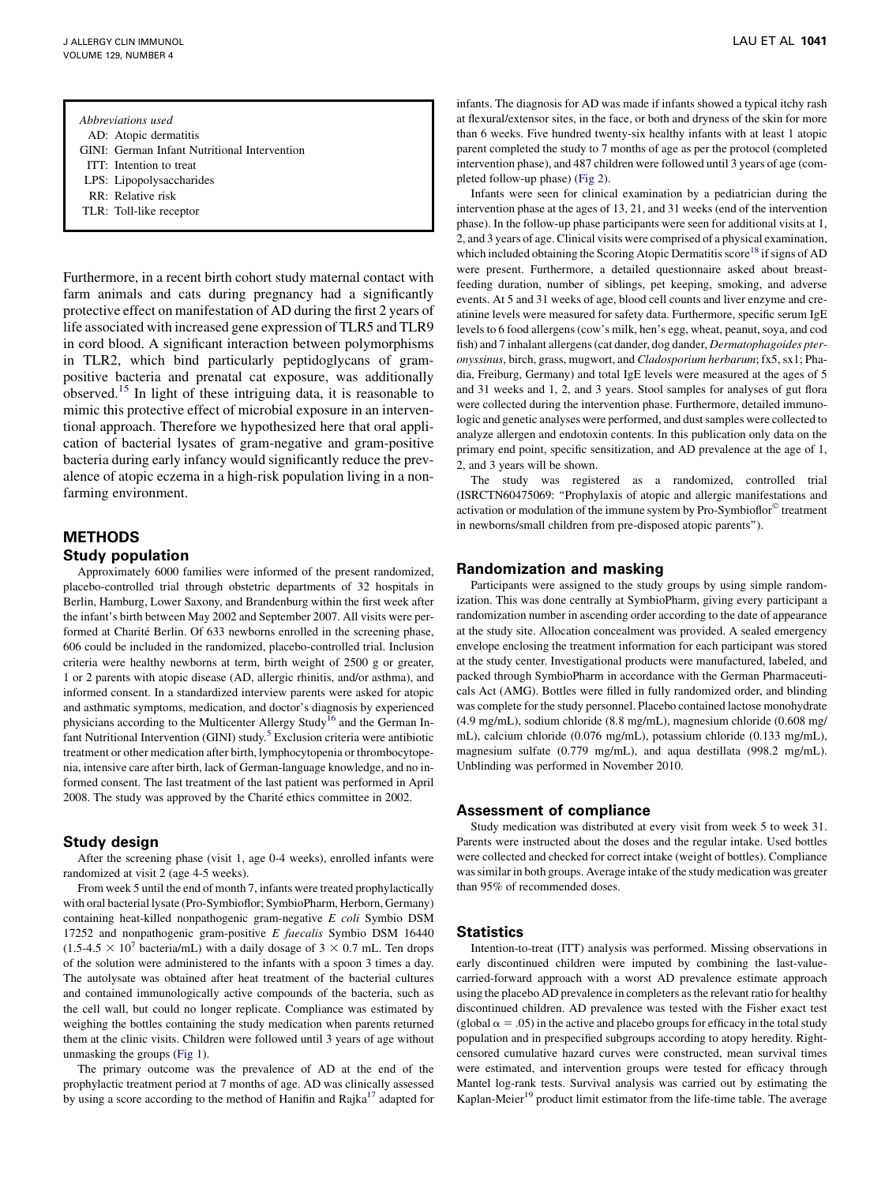| Abbreviations used                           |
|----------------------------------------------|
| AD: Atopic dermatitis                        |
| GINI: German Infant Nutritional Intervention |
|                                              |

- ITT: Intention to treat
- LPS: Lipopolysaccharides
- RR: Relative risk
- TLR: Toll-like receptor

Furthermore, in a recent birth cohort study maternal contact with farm animals and cats during pregnancy had a significantly protective effect on manifestation of AD during the first 2 years of life associated with increased gene expression of TLR5 and TLR9 in cord blood. A significant interaction between polymorphisms in TLR2, which bind particularly peptidoglycans of grampositive bacteria and prenatal cat exposure, was additionally observed.[15](#page-7-0) In light of these intriguing data, it is reasonable to mimic this protective effect of microbial exposure in an interventional approach. Therefore we hypothesized here that oral application of bacterial lysates of gram-negative and gram-positive bacteria during early infancy would significantly reduce the prevalence of atopic eczema in a high-risk population living in a nonfarming environment.

# METHODS Study population

Approximately 6000 families were informed of the present randomized, placebo-controlled trial through obstetric departments of 32 hospitals in Berlin, Hamburg, Lower Saxony, and Brandenburg within the first week after the infant's birth between May 2002 and September 2007. All visits were performed at Charité Berlin. Of 633 newborns enrolled in the screening phase, 606 could be included in the randomized, placebo-controlled trial. Inclusion criteria were healthy newborns at term, birth weight of 2500 g or greater, 1 or 2 parents with atopic disease (AD, allergic rhinitis, and/or asthma), and informed consent. In a standardized interview parents were asked for atopic and asthmatic symptoms, medication, and doctor's diagnosis by experienced physicians according to the Multicenter Allergy Study<sup>16</sup> and the German In-fant Nutritional Intervention (GINI) study.<sup>[5](#page-6-0)</sup> Exclusion criteria were antibiotic treatment or other medication after birth, lymphocytopenia or thrombocytopenia, intensive care after birth, lack of German-language knowledge, and no informed consent. The last treatment of the last patient was performed in April 2008. The study was approved by the Charité ethics committee in 2002.

## Study design

After the screening phase (visit 1, age 0-4 weeks), enrolled infants were randomized at visit 2 (age 4-5 weeks).

From week 5 until the end of month 7, infants were treated prophylactically with oral bacterial lysate (Pro-Symbioflor; SymbioPharm, Herborn, Germany) containing heat-killed nonpathogenic gram-negative E coli Symbio DSM 17252 and nonpathogenic gram-positive E faecalis Symbio DSM 16440  $(1.5-4.5 \times 10^{7} \text{ bacteria/mL})$  with a daily dosage of  $3 \times 0.7 \text{ mL}$ . Ten drops of the solution were administered to the infants with a spoon 3 times a day. The autolysate was obtained after heat treatment of the bacterial cultures and contained immunologically active compounds of the bacteria, such as the cell wall, but could no longer replicate. Compliance was estimated by weighing the bottles containing the study medication when parents returned them at the clinic visits. Children were followed until 3 years of age without unmasking the groups [\(Fig 1\)](#page-2-0).

The primary outcome was the prevalence of AD at the end of the prophylactic treatment period at 7 months of age. AD was clinically assessed by using a score according to the method of Hanifin and Rajka<sup>[17](#page-7-0)</sup> adapted for

infants. The diagnosis for AD was made if infants showed a typical itchy rash at flexural/extensor sites, in the face, or both and dryness of the skin for more than 6 weeks. Five hundred twenty-six healthy infants with at least 1 atopic parent completed the study to 7 months of age as per the protocol (completed intervention phase), and 487 children were followed until 3 years of age (completed follow-up phase) ([Fig 2](#page-2-0)).

Infants were seen for clinical examination by a pediatrician during the intervention phase at the ages of 13, 21, and 31 weeks (end of the intervention phase). In the follow-up phase participants were seen for additional visits at 1, 2, and 3 years of age. Clinical visits were comprised of a physical examination, which included obtaining the Scoring Atopic Dermatitis score<sup>[18](#page-7-0)</sup> if signs of AD were present. Furthermore, a detailed questionnaire asked about breastfeeding duration, number of siblings, pet keeping, smoking, and adverse events. At 5 and 31 weeks of age, blood cell counts and liver enzyme and creatinine levels were measured for safety data. Furthermore, specific serum IgE levels to 6 food allergens (cow's milk, hen's egg, wheat, peanut, soya, and cod fish) and 7 inhalant allergens (cat dander, dog dander, Dermatophagoides pteronyssinus, birch, grass, mugwort, and Cladosporium herbarum; fx5, sx1; Phadia, Freiburg, Germany) and total IgE levels were measured at the ages of 5 and 31 weeks and 1, 2, and 3 years. Stool samples for analyses of gut flora were collected during the intervention phase. Furthermore, detailed immunologic and genetic analyses were performed, and dust samples were collected to analyze allergen and endotoxin contents. In this publication only data on the primary end point, specific sensitization, and AD prevalence at the age of 1, 2, and 3 years will be shown.

The study was registered as a randomized, controlled trial (ISRCTN60475069: ''Prophylaxis of atopic and allergic manifestations and activation or modulation of the immune system by Pro-Symbioflor<sup>®</sup> treatment in newborns/small children from pre-disposed atopic parents'').

## Randomization and masking

Participants were assigned to the study groups by using simple randomization. This was done centrally at SymbioPharm, giving every participant a randomization number in ascending order according to the date of appearance at the study site. Allocation concealment was provided. A sealed emergency envelope enclosing the treatment information for each participant was stored at the study center. Investigational products were manufactured, labeled, and packed through SymbioPharm in accordance with the German Pharmaceuticals Act (AMG). Bottles were filled in fully randomized order, and blinding was complete for the study personnel. Placebo contained lactose monohydrate (4.9 mg/mL), sodium chloride (8.8 mg/mL), magnesium chloride (0.608 mg/ mL), calcium chloride (0.076 mg/mL), potassium chloride (0.133 mg/mL), magnesium sulfate (0.779 mg/mL), and aqua destillata (998.2 mg/mL). Unblinding was performed in November 2010.

### Assessment of compliance

Study medication was distributed at every visit from week 5 to week 31. Parents were instructed about the doses and the regular intake. Used bottles were collected and checked for correct intake (weight of bottles). Compliance was similar in both groups. Average intake of the study medication was greater than 95% of recommended doses.

## **Statistics**

Intention-to-treat (ITT) analysis was performed. Missing observations in early discontinued children were imputed by combining the last-valuecarried-forward approach with a worst AD prevalence estimate approach using the placebo AD prevalence in completers as the relevant ratio for healthy discontinued children. AD prevalence was tested with the Fisher exact test (global  $\alpha = .05$ ) in the active and placebo groups for efficacy in the total study population and in prespecified subgroups according to atopy heredity. Rightcensored cumulative hazard curves were constructed, mean survival times were estimated, and intervention groups were tested for efficacy through Mantel log-rank tests. Survival analysis was carried out by estimating the Kaplan-Meier $19$  product limit estimator from the life-time table. The average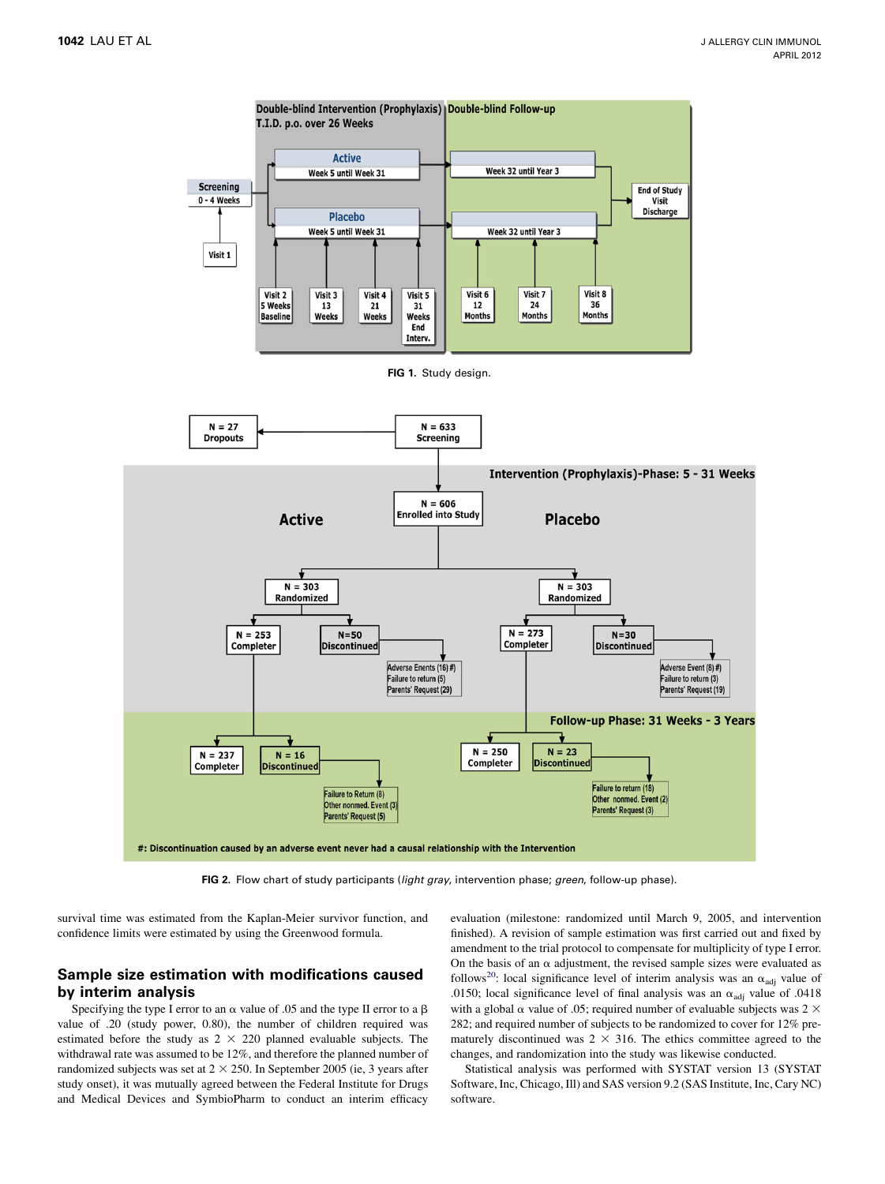<span id="page-2-0"></span>

FIG 2. Flow chart of study participants (light gray, intervention phase; green, follow-up phase).

survival time was estimated from the Kaplan-Meier survivor function, and confidence limits were estimated by using the Greenwood formula.

## Sample size estimation with modifications caused by interim analysis

Specifying the type I error to an  $\alpha$  value of .05 and the type II error to a  $\beta$ value of .20 (study power, 0.80), the number of children required was estimated before the study as  $2 \times 220$  planned evaluable subjects. The withdrawal rate was assumed to be 12%, and therefore the planned number of randomized subjects was set at  $2 \times 250$ . In September 2005 (ie, 3 years after study onset), it was mutually agreed between the Federal Institute for Drugs and Medical Devices and SymbioPharm to conduct an interim efficacy

evaluation (milestone: randomized until March 9, 2005, and intervention finished). A revision of sample estimation was first carried out and fixed by amendment to the trial protocol to compensate for multiplicity of type I error. On the basis of an  $\alpha$  adjustment, the revised sample sizes were evaluated as follows<sup>20</sup>: local significance level of interim analysis was an  $\alpha_{\text{adj}}$  value of .0150; local significance level of final analysis was an  $\alpha_{\text{adj}}$  value of .0418 with a global  $\alpha$  value of .05; required number of evaluable subjects was 2  $\times$ 282; and required number of subjects to be randomized to cover for 12% prematurely discontinued was  $2 \times 316$ . The ethics committee agreed to the changes, and randomization into the study was likewise conducted.

Statistical analysis was performed with SYSTAT version 13 (SYSTAT Software, Inc, Chicago, Ill) and SAS version 9.2 (SAS Institute, Inc, Cary NC) software.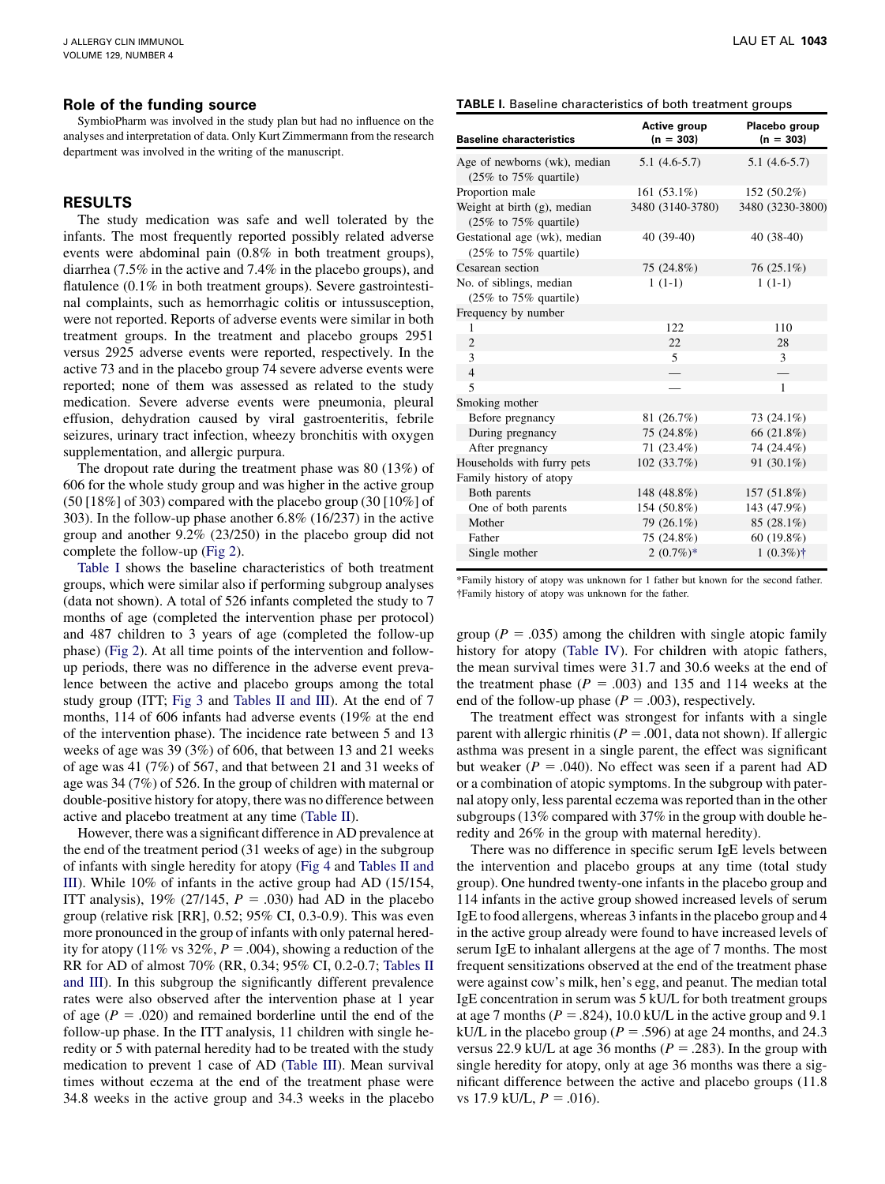#### Role of the funding source

SymbioPharm was involved in the study plan but had no influence on the analyses and interpretation of data. Only Kurt Zimmermann from the research department was involved in the writing of the manuscript.

### RESULTS

The study medication was safe and well tolerated by the infants. The most frequently reported possibly related adverse events were abdominal pain (0.8% in both treatment groups), diarrhea (7.5% in the active and 7.4% in the placebo groups), and flatulence (0.1% in both treatment groups). Severe gastrointestinal complaints, such as hemorrhagic colitis or intussusception, were not reported. Reports of adverse events were similar in both treatment groups. In the treatment and placebo groups 2951 versus 2925 adverse events were reported, respectively. In the active 73 and in the placebo group 74 severe adverse events were reported; none of them was assessed as related to the study medication. Severe adverse events were pneumonia, pleural effusion, dehydration caused by viral gastroenteritis, febrile seizures, urinary tract infection, wheezy bronchitis with oxygen supplementation, and allergic purpura.

The dropout rate during the treatment phase was 80 (13%) of 606 for the whole study group and was higher in the active group (50 [18%] of 303) compared with the placebo group (30 [10%] of 303). In the follow-up phase another 6.8% (16/237) in the active group and another 9.2% (23/250) in the placebo group did not complete the follow-up [\(Fig 2](#page-2-0)).

Table I shows the baseline characteristics of both treatment groups, which were similar also if performing subgroup analyses (data not shown). A total of 526 infants completed the study to 7 months of age (completed the intervention phase per protocol) and 487 children to 3 years of age (completed the follow-up phase) [\(Fig 2](#page-2-0)). At all time points of the intervention and followup periods, there was no difference in the adverse event prevalence between the active and placebo groups among the total study group (ITT; [Fig 3](#page-4-0) and [Tables II and III](#page-4-0)). At the end of 7 months, 114 of 606 infants had adverse events (19% at the end of the intervention phase). The incidence rate between 5 and 13 weeks of age was 39 (3%) of 606, that between 13 and 21 weeks of age was 41 (7%) of 567, and that between 21 and 31 weeks of age was 34 (7%) of 526. In the group of children with maternal or double-positive history for atopy, there was no difference between active and placebo treatment at any time [\(Table II\)](#page-4-0).

However, there was a significant difference in AD prevalence at the end of the treatment period (31 weeks of age) in the subgroup of infants with single heredity for atopy ([Fig 4](#page-5-0) and [Tables II and](#page-4-0) [III](#page-4-0)). While 10% of infants in the active group had AD (15/154, ITT analysis), 19% (27/145,  $P = .030$ ) had AD in the placebo group (relative risk [RR], 0.52; 95% CI, 0.3-0.9). This was even more pronounced in the group of infants with only paternal heredity for atopy (11% vs 32%,  $P = .004$ ), showing a reduction of the RR for AD of almost 70% (RR, 0.34; 95% CI, 0.2-0.7; [Tables II](#page-4-0) [and III](#page-4-0)). In this subgroup the significantly different prevalence rates were also observed after the intervention phase at 1 year of age  $(P = .020)$  and remained borderline until the end of the follow-up phase. In the ITT analysis, 11 children with single heredity or 5 with paternal heredity had to be treated with the study medication to prevent 1 case of AD [\(Table III\)](#page-5-0). Mean survival times without eczema at the end of the treatment phase were 34.8 weeks in the active group and 34.3 weeks in the placebo

|  |  | <b>TABLE I.</b> Baseline characteristics of both treatment groups |  |  |  |  |  |
|--|--|-------------------------------------------------------------------|--|--|--|--|--|
|--|--|-------------------------------------------------------------------|--|--|--|--|--|

| Active group<br>$(n = 303)$ | Placebo group<br>$(n = 303)$ |
|-----------------------------|------------------------------|
| $5.1(4.6-5.7)$              | $5.1(4.6-5.7)$               |
| 161 $(53.1\%)$              | 152 (50.2%)                  |
| 3480 (3140-3780)            | 3480 (3230-3800)             |
| $40(39-40)$                 | 40 (38-40)                   |
| 75 (24.8%)                  | $76(25.1\%)$                 |
| $1(1-1)$                    | $1(1-1)$                     |
|                             |                              |
| 122                         | 110                          |
| 22                          | 28                           |
| 5                           | 3                            |
|                             |                              |
|                             | $\mathbf{1}$                 |
|                             |                              |
| 81 (26.7%)                  | 73 (24.1%)                   |
| 75 (24.8%)                  | 66 (21.8%)                   |
| 71 (23.4%)                  | 74 (24.4%)                   |
| 102 (33.7%)                 | 91 (30.1%)                   |
|                             |                              |
| 148 (48.8%)                 | 157 (51.8%)                  |
| 154 (50.8%)                 | 143 (47.9%)                  |
| 79 (26.1%)                  | 85 (28.1%)                   |
| 75 (24.8%)                  | 60(19.8%)                    |
| $2(0.7\%)*$                 | $1(0.3\%)\dagger$            |
|                             |                              |

\*Family history of atopy was unknown for 1 father but known for the second father. Family history of atopy was unknown for the father.

group ( $P = .035$ ) among the children with single atopic family history for atopy [\(Table IV\)](#page-6-0). For children with atopic fathers, the mean survival times were 31.7 and 30.6 weeks at the end of the treatment phase ( $P = .003$ ) and 135 and 114 weeks at the end of the follow-up phase ( $P = .003$ ), respectively.

The treatment effect was strongest for infants with a single parent with allergic rhinitis ( $P = .001$ , data not shown). If allergic asthma was present in a single parent, the effect was significant but weaker ( $P = .040$ ). No effect was seen if a parent had AD or a combination of atopic symptoms. In the subgroup with paternal atopy only, less parental eczema was reported than in the other subgroups (13% compared with 37% in the group with double heredity and 26% in the group with maternal heredity).

There was no difference in specific serum IgE levels between the intervention and placebo groups at any time (total study group). One hundred twenty-one infants in the placebo group and 114 infants in the active group showed increased levels of serum IgE to food allergens, whereas 3 infants in the placebo group and 4 in the active group already were found to have increased levels of serum IgE to inhalant allergens at the age of 7 months. The most frequent sensitizations observed at the end of the treatment phase were against cow's milk, hen's egg, and peanut. The median total IgE concentration in serum was 5 kU/L for both treatment groups at age 7 months ( $P = .824$ ), 10.0 kU/L in the active group and 9.1 kU/L in the placebo group ( $P = .596$ ) at age 24 months, and 24.3 versus 22.9 kU/L at age 36 months ( $P = .283$ ). In the group with single heredity for atopy, only at age 36 months was there a significant difference between the active and placebo groups (11.8 vs 17.9 kU/L,  $P = .016$ ).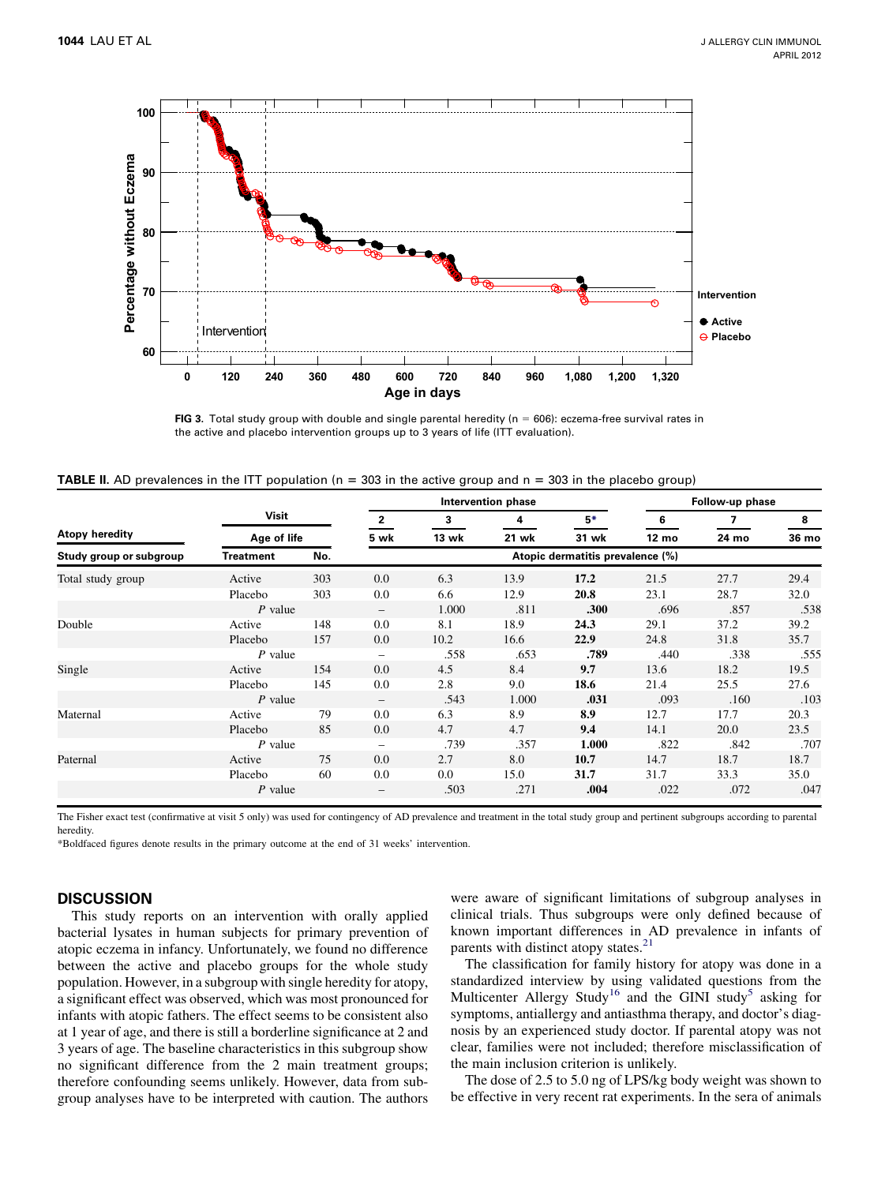<span id="page-4-0"></span>

FIG 3. Total study group with double and single parental heredity ( $n = 606$ ): eczema-free survival rates in the active and placebo intervention groups up to 3 years of life (ITT evaluation).

| <b>TABLE II</b> . AD prevalences in the ITT population ( $n = 303$ in the active group and $n = 303$ in the placebo group) |  |  |  |
|----------------------------------------------------------------------------------------------------------------------------|--|--|--|
|----------------------------------------------------------------------------------------------------------------------------|--|--|--|

|                         |                  |     |                          |       | Intervention phase | Follow-up phase                  |       |       |       |
|-------------------------|------------------|-----|--------------------------|-------|--------------------|----------------------------------|-------|-------|-------|
|                         | Visit            |     | $\overline{2}$           | 3     | 4                  | $5*$                             | 6     | 7     | 8     |
| Atopy heredity          | Age of life      |     | 5 wk                     | 13 wk | 21 wk              | 31 wk                            | 12 mo | 24 mo | 36 mo |
| Study group or subgroup | <b>Treatment</b> | No. |                          |       |                    | Atopic dermatitis prevalence (%) |       |       |       |
| Total study group       | Active           | 303 | 0.0                      | 6.3   | 13.9               | 17.2                             | 21.5  | 27.7  | 29.4  |
|                         | Placebo          | 303 | 0.0                      | 6.6   | 12.9               | 20.8                             | 23.1  | 28.7  | 32.0  |
|                         | P value          |     | $\overline{\phantom{0}}$ | 1.000 | .811               | .300                             | .696  | .857  | .538  |
| Double                  | Active           | 148 | 0.0                      | 8.1   | 18.9               | 24.3                             | 29.1  | 37.2  | 39.2  |
|                         | Placebo          | 157 | 0.0                      | 10.2  | 16.6               | 22.9                             | 24.8  | 31.8  | 35.7  |
|                         | $P$ value        |     |                          | .558  | .653               | .789                             | .440  | .338  | .555  |
| Single                  | Active           | 154 | 0.0                      | 4.5   | 8.4                | 9.7                              | 13.6  | 18.2  | 19.5  |
|                         | Placebo          | 145 | 0.0                      | 2.8   | 9.0                | 18.6                             | 21.4  | 25.5  | 27.6  |
|                         | $P$ value        |     |                          | .543  | 1.000              | .031                             | .093  | .160  | .103  |
| Maternal                | Active           | 79  | 0.0                      | 6.3   | 8.9                | 8.9                              | 12.7  | 17.7  | 20.3  |
|                         | Placebo          | 85  | 0.0                      | 4.7   | 4.7                | 9.4                              | 14.1  | 20.0  | 23.5  |
|                         | $P$ value        |     | $\qquad \qquad -$        | .739  | .357               | 1.000                            | .822  | .842  | .707  |
| Paternal                | Active           | 75  | 0.0                      | 2.7   | 8.0                | 10.7                             | 14.7  | 18.7  | 18.7  |
|                         | Placebo          | 60  | 0.0                      | 0.0   | 15.0               | 31.7                             | 31.7  | 33.3  | 35.0  |
|                         | $P$ value        |     | $\qquad \qquad -$        | .503  | .271               | .004                             | .022  | .072  | .047  |

The Fisher exact test (confirmative at visit 5 only) was used for contingency of AD prevalence and treatment in the total study group and pertinent subgroups according to parental heredity.

\*Boldfaced figures denote results in the primary outcome at the end of 31 weeks' intervention.

## **DISCUSSION**

This study reports on an intervention with orally applied bacterial lysates in human subjects for primary prevention of atopic eczema in infancy. Unfortunately, we found no difference between the active and placebo groups for the whole study population. However, in a subgroup with single heredity for atopy, a significant effect was observed, which was most pronounced for infants with atopic fathers. The effect seems to be consistent also at 1 year of age, and there is still a borderline significance at 2 and 3 years of age. The baseline characteristics in this subgroup show no significant difference from the 2 main treatment groups; therefore confounding seems unlikely. However, data from subgroup analyses have to be interpreted with caution. The authors

were aware of significant limitations of subgroup analyses in clinical trials. Thus subgroups were only defined because of known important differences in AD prevalence in infants of parents with distinct atopy states.<sup>[21](#page-7-0)</sup>

The classification for family history for atopy was done in a standardized interview by using validated questions from the Multicenter Allergy Study<sup>[16](#page-7-0)</sup> and the GINI study<sup>5</sup> asking for symptoms, antiallergy and antiasthma therapy, and doctor's diagnosis by an experienced study doctor. If parental atopy was not clear, families were not included; therefore misclassification of the main inclusion criterion is unlikely.

The dose of 2.5 to 5.0 ng of LPS/kg body weight was shown to be effective in very recent rat experiments. In the sera of animals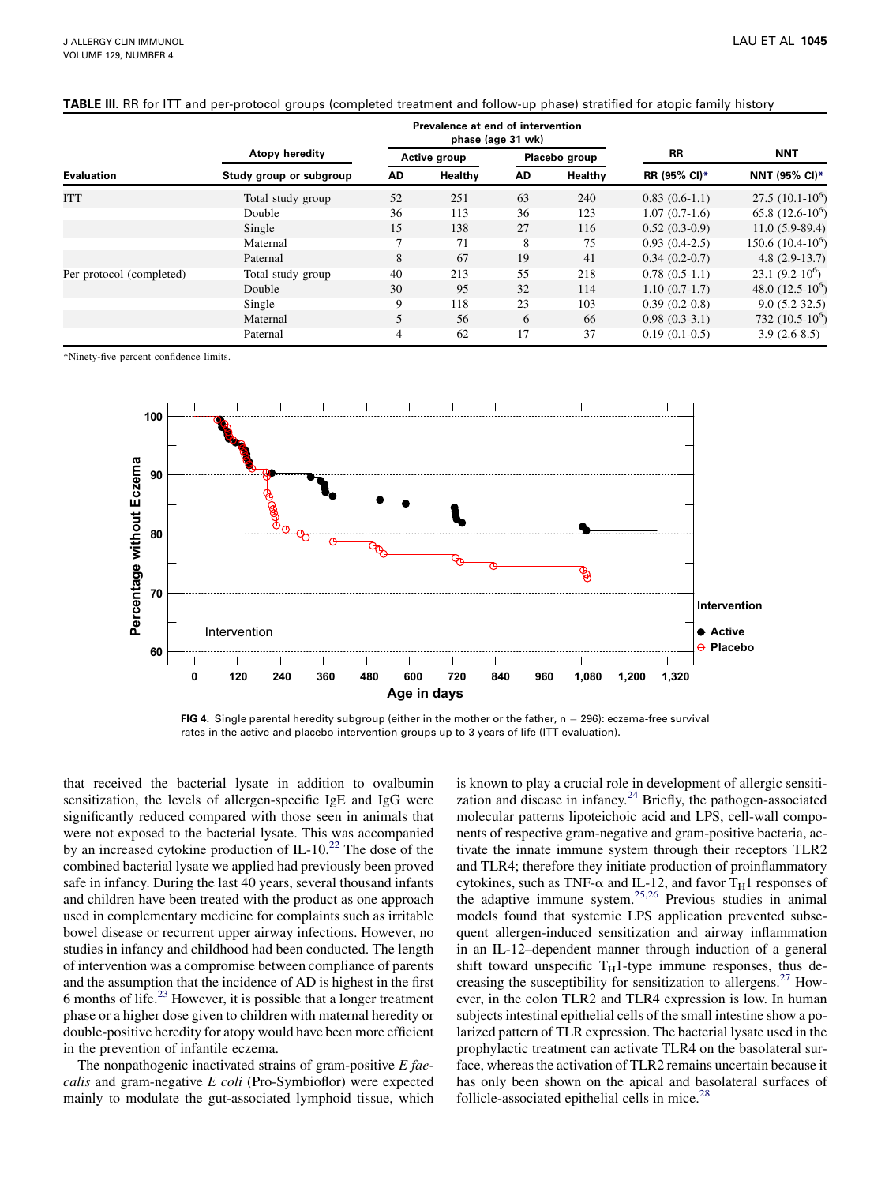|                          |                         | Prevalence at end of intervention<br>phase (age 31 wk) |         |               |         |                 |                      |  |
|--------------------------|-------------------------|--------------------------------------------------------|---------|---------------|---------|-----------------|----------------------|--|
|                          | Atopy heredity          | Active group                                           |         | Placebo group |         | RR              | <b>NNT</b>           |  |
| <b>Evaluation</b>        | Study group or subgroup | AD                                                     | Healthy | AD            | Healthy | RR (95% CI)*    | <b>NNT (95% CI)*</b> |  |
| <b>ITT</b>               | Total study group       | 52                                                     | 251     | 63            | 240     | $0.83(0.6-1.1)$ | $27.5(10.1-10^6)$    |  |
|                          | Double                  | 36                                                     | 113     | 36            | 123     | $1.07(0.7-1.6)$ | 65.8 $(12.6-10^6)$   |  |
|                          | Single                  | 15                                                     | 138     | 27            | 116     | $0.52(0.3-0.9)$ | $11.0(5.9-89.4)$     |  |
|                          | Maternal                |                                                        | 71      | 8             | 75      | $0.93(0.4-2.5)$ | $150.6(10.4-10^6)$   |  |
|                          | Paternal                | 8                                                      | 67      | 19            | 41      | $0.34(0.2-0.7)$ | $4.8(2.9-13.7)$      |  |
| Per protocol (completed) | Total study group       | 40                                                     | 213     | 55            | 218     | $0.78(0.5-1.1)$ | $23.1(9.2-10^6)$     |  |
|                          | Double                  | 30                                                     | 95      | 32            | 114     | $1.10(0.7-1.7)$ | 48.0 $(12.5-10^6)$   |  |
|                          | Single                  | 9                                                      | 118     | 23            | 103     | $0.39(0.2-0.8)$ | $9.0(5.2-32.5)$      |  |
|                          | Maternal                | 5                                                      | 56      | 6             | 66      | $0.98(0.3-3.1)$ | 732 $(10.5-10^6)$    |  |
|                          | Paternal                | 4                                                      | 62      | 17            | 37      | $0.19(0.1-0.5)$ | $3.9(2.6-8.5)$       |  |

## <span id="page-5-0"></span>TABLE III. RR for ITT and per-protocol groups (completed treatment and follow-up phase) stratified for atopic family history

\*Ninety-five percent confidence limits.



FIG 4. Single parental heredity subgroup (either in the mother or the father,  $n = 296$ ): eczema-free survival rates in the active and placebo intervention groups up to 3 years of life (ITT evaluation).

that received the bacterial lysate in addition to ovalbumin sensitization, the levels of allergen-specific IgE and IgG were significantly reduced compared with those seen in animals that were not exposed to the bacterial lysate. This was accompanied by an increased cytokine production of IL-10.<sup>[22](#page-7-0)</sup> The dose of the combined bacterial lysate we applied had previously been proved safe in infancy. During the last 40 years, several thousand infants and children have been treated with the product as one approach used in complementary medicine for complaints such as irritable bowel disease or recurrent upper airway infections. However, no studies in infancy and childhood had been conducted. The length of intervention was a compromise between compliance of parents and the assumption that the incidence of AD is highest in the first 6 months of life. $^{23}$  However, it is possible that a longer treatment phase or a higher dose given to children with maternal heredity or double-positive heredity for atopy would have been more efficient in the prevention of infantile eczema.

The nonpathogenic inactivated strains of gram-positive  $E$  faecalis and gram-negative E coli (Pro-Symbioflor) were expected mainly to modulate the gut-associated lymphoid tissue, which

is known to play a crucial role in development of allergic sensitization and disease in infancy. $24$  Briefly, the pathogen-associated molecular patterns lipoteichoic acid and LPS, cell-wall components of respective gram-negative and gram-positive bacteria, activate the innate immune system through their receptors TLR2 and TLR4; therefore they initiate production of proinflammatory cytokines, such as TNF- $\alpha$  and IL-12, and favor T<sub>H</sub>1 responses of the adaptive immune system.<sup>[25,26](#page-7-0)</sup> Previous studies in animal models found that systemic LPS application prevented subsequent allergen-induced sensitization and airway inflammation in an IL-12–dependent manner through induction of a general shift toward unspecific  $T_H$ 1-type immune responses, thus de-creasing the susceptibility for sensitization to allergens.<sup>[27](#page-7-0)</sup> However, in the colon TLR2 and TLR4 expression is low. In human subjects intestinal epithelial cells of the small intestine show a polarized pattern of TLR expression. The bacterial lysate used in the prophylactic treatment can activate TLR4 on the basolateral surface, whereas the activation of TLR2 remains uncertain because it has only been shown on the apical and basolateral surfaces of follicle-associated epithelial cells in mice. $^{28}$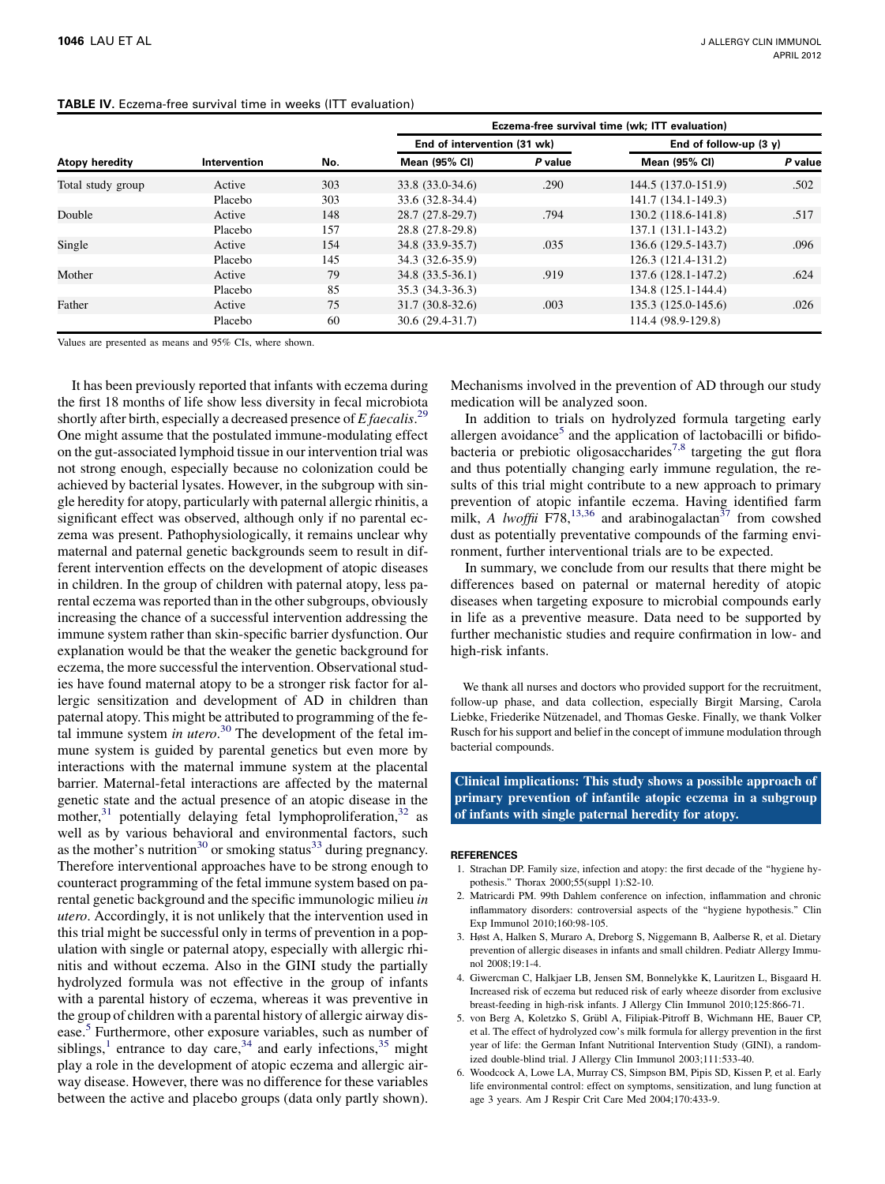#### <span id="page-6-0"></span>TABLE IV. Eczema-free survival time in weeks (ITT evaluation)

|                   |              |     | Eczema-free survival time (wk; ITT evaluation) |         |                          |         |  |  |
|-------------------|--------------|-----|------------------------------------------------|---------|--------------------------|---------|--|--|
| Atopy heredity    | Intervention | No. | End of intervention (31 wk)                    |         | End of follow-up $(3 y)$ |         |  |  |
|                   |              |     | <b>Mean (95% CI)</b>                           | P value | <b>Mean (95% CI)</b>     | P value |  |  |
| Total study group | Active       | 303 | 33.8 (33.0-34.6)                               | .290    | 144.5 (137.0-151.9)      | .502    |  |  |
|                   | Placebo      | 303 | 33.6 (32.8-34.4)                               |         | 141.7 (134.1-149.3)      |         |  |  |
| Double            | Active       | 148 | 28.7 (27.8-29.7)                               | .794    | 130.2 (118.6-141.8)      | .517    |  |  |
|                   | Placebo      | 157 | 28.8 (27.8-29.8)                               |         | 137.1 (131.1-143.2)      |         |  |  |
| Single            | Active       | 154 | 34.8 (33.9-35.7)                               | .035    | 136.6 (129.5-143.7)      | .096    |  |  |
|                   | Placebo      | 145 | 34.3 (32.6-35.9)                               |         | 126.3 (121.4-131.2)      |         |  |  |
| Mother            | Active       | 79  | $34.8(33.5-36.1)$                              | .919    | 137.6 (128.1-147.2)      | .624    |  |  |
|                   | Placebo      | 85  | 35.3 (34.3-36.3)                               |         | 134.8 (125.1-144.4)      |         |  |  |
| Father            | Active       | 75  | $31.7(30.8-32.6)$                              | .003    | 135.3 (125.0-145.6)      | .026    |  |  |
|                   | Placebo      | 60  | 30.6 (29.4-31.7)                               |         | 114.4 (98.9-129.8)       |         |  |  |

Values are presented as means and 95% CIs, where shown.

It has been previously reported that infants with eczema during the first 18 months of life show less diversity in fecal microbiota shortly after birth, especially a decreased presence of  $E$  faecalis.<sup>[29](#page-7-0)</sup> One might assume that the postulated immune-modulating effect on the gut-associated lymphoid tissue in our intervention trial was not strong enough, especially because no colonization could be achieved by bacterial lysates. However, in the subgroup with single heredity for atopy, particularly with paternal allergic rhinitis, a significant effect was observed, although only if no parental eczema was present. Pathophysiologically, it remains unclear why maternal and paternal genetic backgrounds seem to result in different intervention effects on the development of atopic diseases in children. In the group of children with paternal atopy, less parental eczema was reported than in the other subgroups, obviously increasing the chance of a successful intervention addressing the immune system rather than skin-specific barrier dysfunction. Our explanation would be that the weaker the genetic background for eczema, the more successful the intervention. Observational studies have found maternal atopy to be a stronger risk factor for allergic sensitization and development of AD in children than paternal atopy. This might be attributed to programming of the fetal immune system in  $u \neq e^{30}$  $u \neq e^{30}$  $u \neq e^{30}$  The development of the fetal immune system is guided by parental genetics but even more by interactions with the maternal immune system at the placental barrier. Maternal-fetal interactions are affected by the maternal genetic state and the actual presence of an atopic disease in the mother,<sup>[31](#page-7-0)</sup> potentially delaying fetal lymphoproliferation,<sup>32</sup> as well as by various behavioral and environmental factors, such as the mother's nutrition<sup>30</sup> or smoking status<sup>[33](#page-7-0)</sup> during pregnancy. Therefore interventional approaches have to be strong enough to counteract programming of the fetal immune system based on parental genetic background and the specific immunologic milieu in utero. Accordingly, it is not unlikely that the intervention used in this trial might be successful only in terms of prevention in a population with single or paternal atopy, especially with allergic rhinitis and without eczema. Also in the GINI study the partially hydrolyzed formula was not effective in the group of infants with a parental history of eczema, whereas it was preventive in the group of children with a parental history of allergic airway disease.<sup>5</sup> Furthermore, other exposure variables, such as number of siblings,<sup>1</sup> entrance to day care,<sup>[34](#page-7-0)</sup> and early infections,<sup>[35](#page-7-0)</sup> might play a role in the development of atopic eczema and allergic airway disease. However, there was no difference for these variables between the active and placebo groups (data only partly shown).

Mechanisms involved in the prevention of AD through our study medication will be analyzed soon.

In addition to trials on hydrolyzed formula targeting early allergen avoidance<sup>5</sup> and the application of lactobacilli or bifido-bacteria or prebiotic oligosaccharides<sup>[7,8](#page-7-0)</sup> targeting the gut flora and thus potentially changing early immune regulation, the results of this trial might contribute to a new approach to primary prevention of atopic infantile eczema. Having identified farm milk, A lwoffii F78,<sup>[13,36](#page-7-0)</sup> and arabinogalactan<sup>[37](#page-7-0)</sup> from cowshed dust as potentially preventative compounds of the farming environment, further interventional trials are to be expected.

In summary, we conclude from our results that there might be differences based on paternal or maternal heredity of atopic diseases when targeting exposure to microbial compounds early in life as a preventive measure. Data need to be supported by further mechanistic studies and require confirmation in low- and high-risk infants.

We thank all nurses and doctors who provided support for the recruitment, follow-up phase, and data collection, especially Birgit Marsing, Carola Liebke, Friederike Nützenadel, and Thomas Geske. Finally, we thank Volker Rusch for his support and belief in the concept of immune modulation through bacterial compounds.

Clinical implications: This study shows a possible approach of primary prevention of infantile atopic eczema in a subgroup of infants with single paternal heredity for atopy.

#### REFERENCES

- 1. Strachan DP. Family size, infection and atopy: the first decade of the ''hygiene hypothesis.'' Thorax 2000;55(suppl 1):S2-10.
- 2. Matricardi PM. 99th Dahlem conference on infection, inflammation and chronic inflammatory disorders: controversial aspects of the ''hygiene hypothesis.'' Clin Exp Immunol 2010;160:98-105.
- 3. Høst A, Halken S, Muraro A, Dreborg S, Niggemann B, Aalberse R, et al. Dietary prevention of allergic diseases in infants and small children. Pediatr Allergy Immunol 2008;19:1-4.
- 4. Giwercman C, Halkjaer LB, Jensen SM, Bonnelykke K, Lauritzen L, Bisgaard H. Increased risk of eczema but reduced risk of early wheeze disorder from exclusive breast-feeding in high-risk infants. J Allergy Clin Immunol 2010;125:866-71.
- 5. von Berg A, Koletzko S, Grübl A, Filipiak-Pitroff B, Wichmann HE, Bauer CP, et al. The effect of hydrolyzed cow's milk formula for allergy prevention in the first year of life: the German Infant Nutritional Intervention Study (GINI), a randomized double-blind trial. J Allergy Clin Immunol 2003;111:533-40.
- 6. Woodcock A, Lowe LA, Murray CS, Simpson BM, Pipis SD, Kissen P, et al. Early life environmental control: effect on symptoms, sensitization, and lung function at age 3 years. Am J Respir Crit Care Med 2004;170:433-9.